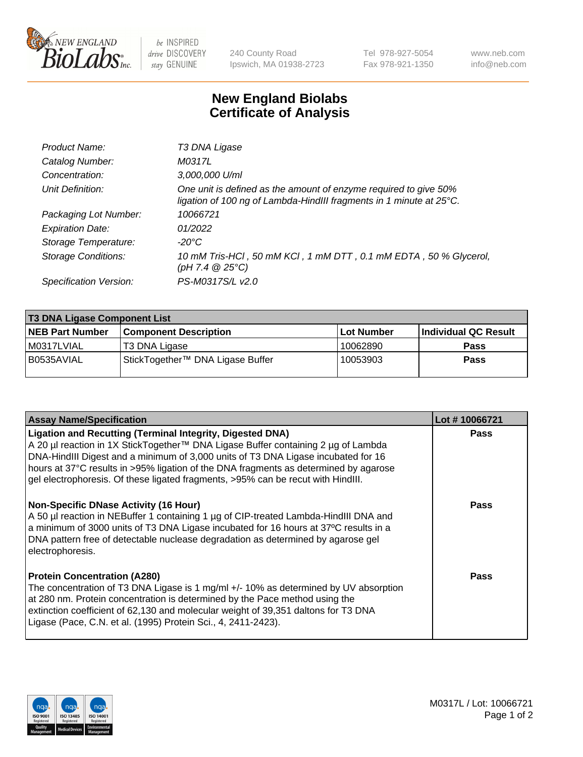

 $be$  INSPIRED drive DISCOVERY stay GENUINE

240 County Road Ipswich, MA 01938-2723 Tel 978-927-5054 Fax 978-921-1350 www.neb.com info@neb.com

## **New England Biolabs Certificate of Analysis**

| Product Name:              | T3 DNA Ligase                                                                                                                           |
|----------------------------|-----------------------------------------------------------------------------------------------------------------------------------------|
| Catalog Number:            | M0317L                                                                                                                                  |
| Concentration:             | 3,000,000 U/ml                                                                                                                          |
| Unit Definition:           | One unit is defined as the amount of enzyme required to give 50%<br>ligation of 100 ng of Lambda-HindIII fragments in 1 minute at 25°C. |
| Packaging Lot Number:      | 10066721                                                                                                                                |
| <b>Expiration Date:</b>    | 01/2022                                                                                                                                 |
| Storage Temperature:       | $-20^{\circ}$ C                                                                                                                         |
| <b>Storage Conditions:</b> | 10 mM Tris-HCl, 50 mM KCl, 1 mM DTT, 0.1 mM EDTA, 50 % Glycerol,<br>(pH 7.4 $@25°C$ )                                                   |
| Specification Version:     | PS-M0317S/L v2.0                                                                                                                        |

| <b>T3 DNA Ligase Component List</b> |                                  |             |                      |  |
|-------------------------------------|----------------------------------|-------------|----------------------|--|
| <b>NEB Part Number</b>              | <b>Component Description</b>     | ⊺Lot Number | Individual QC Result |  |
| M0317LVIAL                          | T3 DNA Ligase                    | 10062890    | <b>Pass</b>          |  |
| B0535AVIAL                          | StickTogether™ DNA Ligase Buffer | 10053903    | <b>Pass</b>          |  |

| <b>Assay Name/Specification</b>                                                                                                                                                                                                                                                                                                                                                                                        | Lot #10066721 |
|------------------------------------------------------------------------------------------------------------------------------------------------------------------------------------------------------------------------------------------------------------------------------------------------------------------------------------------------------------------------------------------------------------------------|---------------|
| <b>Ligation and Recutting (Terminal Integrity, Digested DNA)</b><br>A 20 µl reaction in 1X StickTogether™ DNA Ligase Buffer containing 2 µg of Lambda<br>DNA-HindIII Digest and a minimum of 3,000 units of T3 DNA Ligase incubated for 16<br>hours at 37°C results in >95% ligation of the DNA fragments as determined by agarose<br>gel electrophoresis. Of these ligated fragments, >95% can be recut with HindIII. | <b>Pass</b>   |
| <b>Non-Specific DNase Activity (16 Hour)</b><br>A 50 µl reaction in NEBuffer 1 containing 1 µg of CIP-treated Lambda-HindIII DNA and<br>a minimum of 3000 units of T3 DNA Ligase incubated for 16 hours at 37°C results in a<br>DNA pattern free of detectable nuclease degradation as determined by agarose gel<br>electrophoresis.                                                                                   | <b>Pass</b>   |
| <b>Protein Concentration (A280)</b><br>The concentration of T3 DNA Ligase is 1 mg/ml +/- 10% as determined by UV absorption<br>at 280 nm. Protein concentration is determined by the Pace method using the<br>extinction coefficient of 62,130 and molecular weight of 39,351 daltons for T3 DNA<br>Ligase (Pace, C.N. et al. (1995) Protein Sci., 4, 2411-2423).                                                      | Pass          |